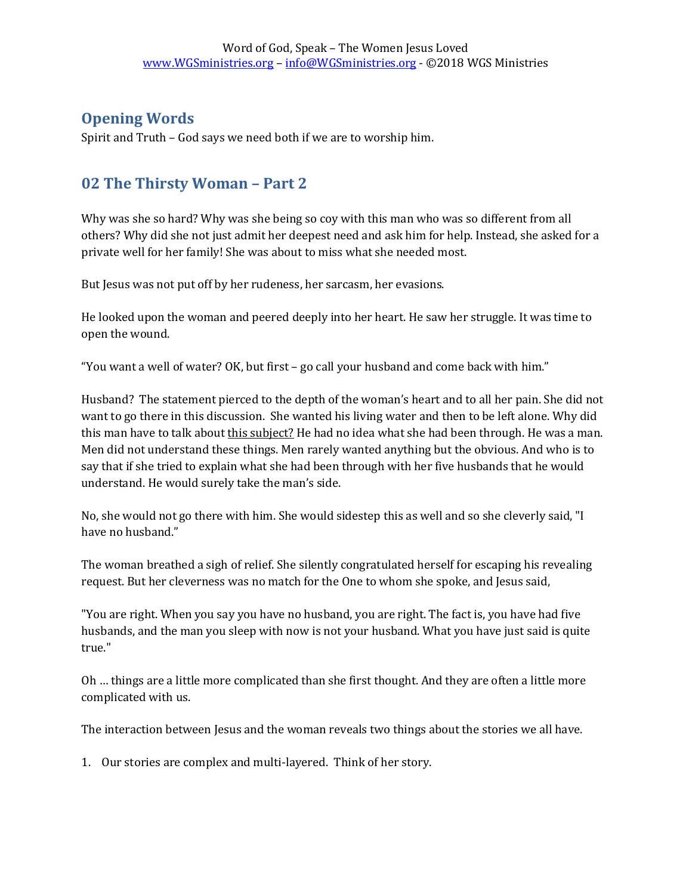## **Opening Words**

Spirit and Truth – God says we need both if we are to worship him.

## **02 The Thirsty Woman – Part 2**

Why was she so hard? Why was she being so coy with this man who was so different from all others? Why did she not just admit her deepest need and ask him for help. Instead, she asked for a private well for her family! She was about to miss what she needed most.

But Jesus was not put off by her rudeness, her sarcasm, her evasions.

He looked upon the woman and peered deeply into her heart. He saw her struggle. It was time to open the wound.

"You want a well of water? OK, but first – go call your husband and come back with him."

Husband? The statement pierced to the depth of the woman's heart and to all her pain. She did not want to go there in this discussion. She wanted his living water and then to be left alone. Why did this man have to talk about this subject? He had no idea what she had been through. He was a man. Men did not understand these things. Men rarely wanted anything but the obvious. And who is to say that if she tried to explain what she had been through with her five husbands that he would understand. He would surely take the man's side.

No, she would not go there with him. She would sidestep this as well and so she cleverly said, "I have no husband."

The woman breathed a sigh of relief. She silently congratulated herself for escaping his revealing request. But her cleverness was no match for the One to whom she spoke, and Jesus said,

"You are right. When you say you have no husband, you are right. The fact is, you have had five husbands, and the man you sleep with now is not your husband. What you have just said is quite true."

Oh … things are a little more complicated than she first thought. And they are often a little more complicated with us.

The interaction between Jesus and the woman reveals two things about the stories we all have.

1. Our stories are complex and multi-layered. Think of her story.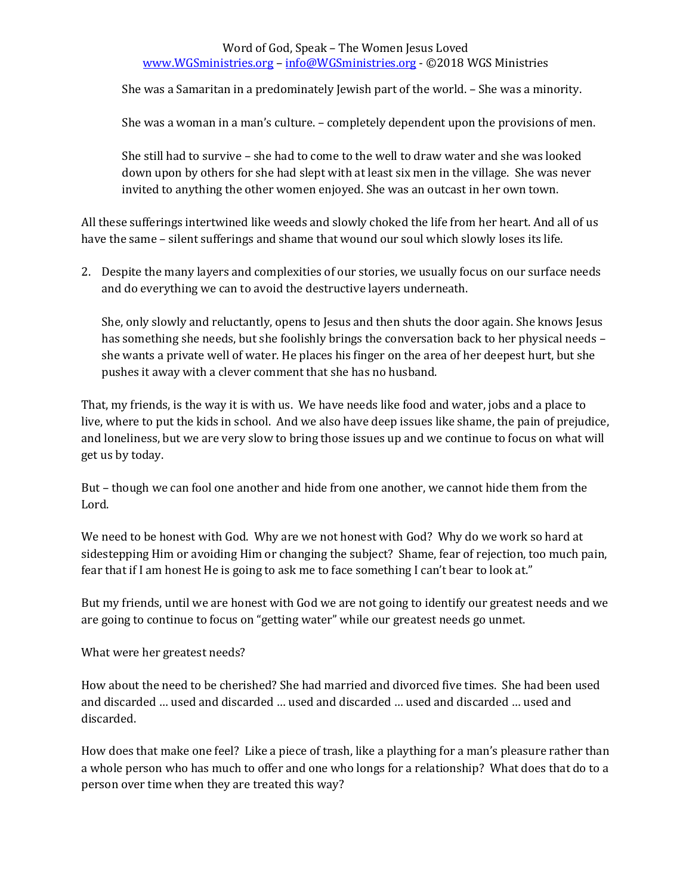## Word of God, Speak – The Women Jesus Loved [www.WGSministries.org](http://www.wgsministries.org/) – [info@WGSministries.org](mailto:info@WGSministries.org) - ©2018 WGS Ministries

She was a Samaritan in a predominately Jewish part of the world. – She was a minority.

She was a woman in a man's culture. – completely dependent upon the provisions of men.

She still had to survive – she had to come to the well to draw water and she was looked down upon by others for she had slept with at least six men in the village. She was never invited to anything the other women enjoyed. She was an outcast in her own town.

All these sufferings intertwined like weeds and slowly choked the life from her heart. And all of us have the same – silent sufferings and shame that wound our soul which slowly loses its life.

2. Despite the many layers and complexities of our stories, we usually focus on our surface needs and do everything we can to avoid the destructive layers underneath.

She, only slowly and reluctantly, opens to Jesus and then shuts the door again. She knows Jesus has something she needs, but she foolishly brings the conversation back to her physical needs – she wants a private well of water. He places his finger on the area of her deepest hurt, but she pushes it away with a clever comment that she has no husband.

That, my friends, is the way it is with us. We have needs like food and water, jobs and a place to live, where to put the kids in school. And we also have deep issues like shame, the pain of prejudice, and loneliness, but we are very slow to bring those issues up and we continue to focus on what will get us by today.

But – though we can fool one another and hide from one another, we cannot hide them from the Lord.

We need to be honest with God. Why are we not honest with God? Why do we work so hard at sidestepping Him or avoiding Him or changing the subject? Shame, fear of rejection, too much pain, fear that if I am honest He is going to ask me to face something I can't bear to look at."

But my friends, until we are honest with God we are not going to identify our greatest needs and we are going to continue to focus on "getting water" while our greatest needs go unmet.

What were her greatest needs?

How about the need to be cherished? She had married and divorced five times. She had been used and discarded … used and discarded … used and discarded … used and discarded … used and discarded.

How does that make one feel? Like a piece of trash, like a plaything for a man's pleasure rather than a whole person who has much to offer and one who longs for a relationship? What does that do to a person over time when they are treated this way?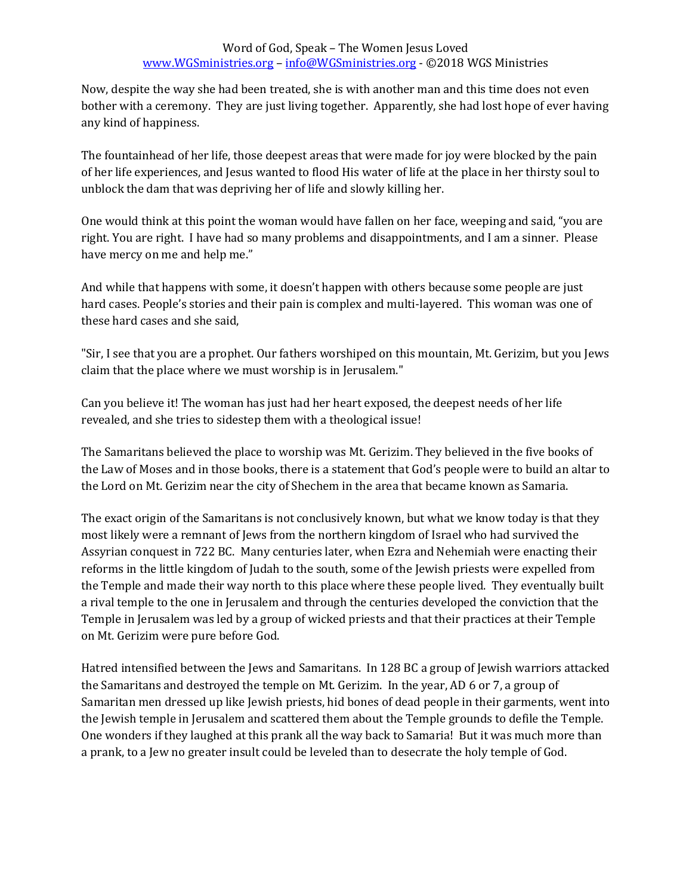Now, despite the way she had been treated, she is with another man and this time does not even bother with a ceremony. They are just living together. Apparently, she had lost hope of ever having any kind of happiness.

The fountainhead of her life, those deepest areas that were made for joy were blocked by the pain of her life experiences, and Jesus wanted to flood His water of life at the place in her thirsty soul to unblock the dam that was depriving her of life and slowly killing her.

One would think at this point the woman would have fallen on her face, weeping and said, "you are right. You are right. I have had so many problems and disappointments, and I am a sinner. Please have mercy on me and help me."

And while that happens with some, it doesn't happen with others because some people are just hard cases. People's stories and their pain is complex and multi-layered. This woman was one of these hard cases and she said,

"Sir, I see that you are a prophet. Our fathers worshiped on this mountain, Mt. Gerizim, but you Jews claim that the place where we must worship is in Jerusalem."

Can you believe it! The woman has just had her heart exposed, the deepest needs of her life revealed, and she tries to sidestep them with a theological issue!

The Samaritans believed the place to worship was Mt. Gerizim. They believed in the five books of the Law of Moses and in those books, there is a statement that God's people were to build an altar to the Lord on Mt. Gerizim near the city of Shechem in the area that became known as Samaria.

The exact origin of the Samaritans is not conclusively known, but what we know today is that they most likely were a remnant of Jews from the northern kingdom of Israel who had survived the Assyrian conquest in 722 BC. Many centuries later, when Ezra and Nehemiah were enacting their reforms in the little kingdom of Judah to the south, some of the Jewish priests were expelled from the Temple and made their way north to this place where these people lived. They eventually built a rival temple to the one in Jerusalem and through the centuries developed the conviction that the Temple in Jerusalem was led by a group of wicked priests and that their practices at their Temple on Mt. Gerizim were pure before God.

Hatred intensified between the Jews and Samaritans. In 128 BC a group of Jewish warriors attacked the Samaritans and destroyed the temple on Mt. Gerizim. In the year, AD 6 or 7, a group of Samaritan men dressed up like Jewish priests, hid bones of dead people in their garments, went into the Jewish temple in Jerusalem and scattered them about the Temple grounds to defile the Temple. One wonders if they laughed at this prank all the way back to Samaria! But it was much more than a prank, to a Jew no greater insult could be leveled than to desecrate the holy temple of God.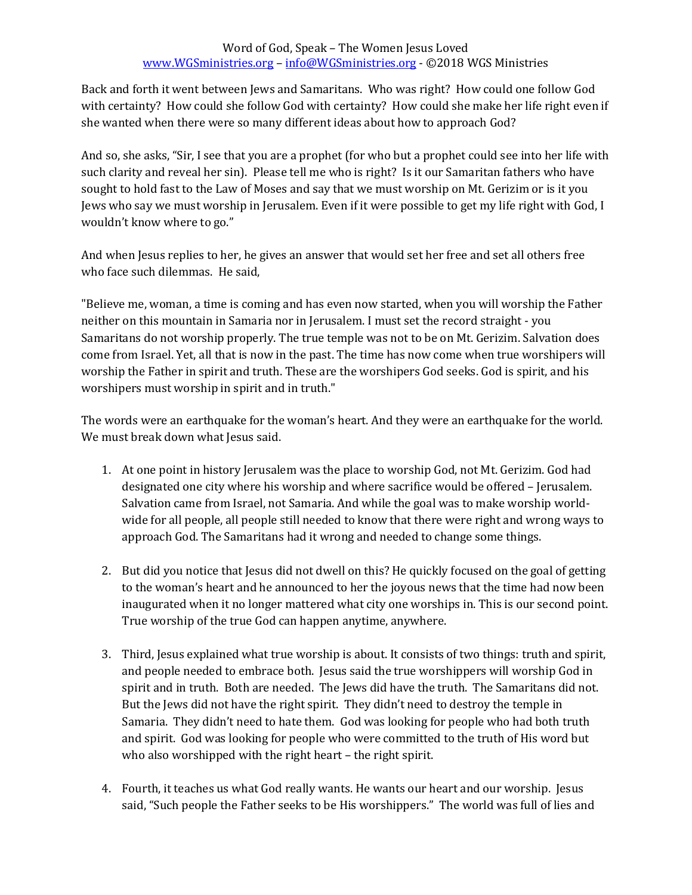Back and forth it went between Jews and Samaritans. Who was right? How could one follow God with certainty? How could she follow God with certainty? How could she make her life right even if she wanted when there were so many different ideas about how to approach God?

And so, she asks, "Sir, I see that you are a prophet (for who but a prophet could see into her life with such clarity and reveal her sin). Please tell me who is right? Is it our Samaritan fathers who have sought to hold fast to the Law of Moses and say that we must worship on Mt. Gerizim or is it you Jews who say we must worship in Jerusalem. Even if it were possible to get my life right with God, I wouldn't know where to go."

And when Jesus replies to her, he gives an answer that would set her free and set all others free who face such dilemmas. He said,

"Believe me, woman, a time is coming and has even now started, when you will worship the Father neither on this mountain in Samaria nor in Jerusalem. I must set the record straight - you Samaritans do not worship properly. The true temple was not to be on Mt. Gerizim. Salvation does come from Israel. Yet, all that is now in the past. The time has now come when true worshipers will worship the Father in spirit and truth. These are the worshipers God seeks. God is spirit, and his worshipers must worship in spirit and in truth."

The words were an earthquake for the woman's heart. And they were an earthquake for the world. We must break down what Jesus said.

- 1. At one point in history Jerusalem was the place to worship God, not Mt. Gerizim. God had designated one city where his worship and where sacrifice would be offered – Jerusalem. Salvation came from Israel, not Samaria. And while the goal was to make worship worldwide for all people, all people still needed to know that there were right and wrong ways to approach God. The Samaritans had it wrong and needed to change some things.
- 2. But did you notice that Jesus did not dwell on this? He quickly focused on the goal of getting to the woman's heart and he announced to her the joyous news that the time had now been inaugurated when it no longer mattered what city one worships in. This is our second point. True worship of the true God can happen anytime, anywhere.
- 3. Third, Jesus explained what true worship is about. It consists of two things: truth and spirit, and people needed to embrace both. Jesus said the true worshippers will worship God in spirit and in truth. Both are needed. The Jews did have the truth. The Samaritans did not. But the Jews did not have the right spirit. They didn't need to destroy the temple in Samaria. They didn't need to hate them. God was looking for people who had both truth and spirit. God was looking for people who were committed to the truth of His word but who also worshipped with the right heart – the right spirit.
- 4. Fourth, it teaches us what God really wants. He wants our heart and our worship. Jesus said, "Such people the Father seeks to be His worshippers." The world was full of lies and